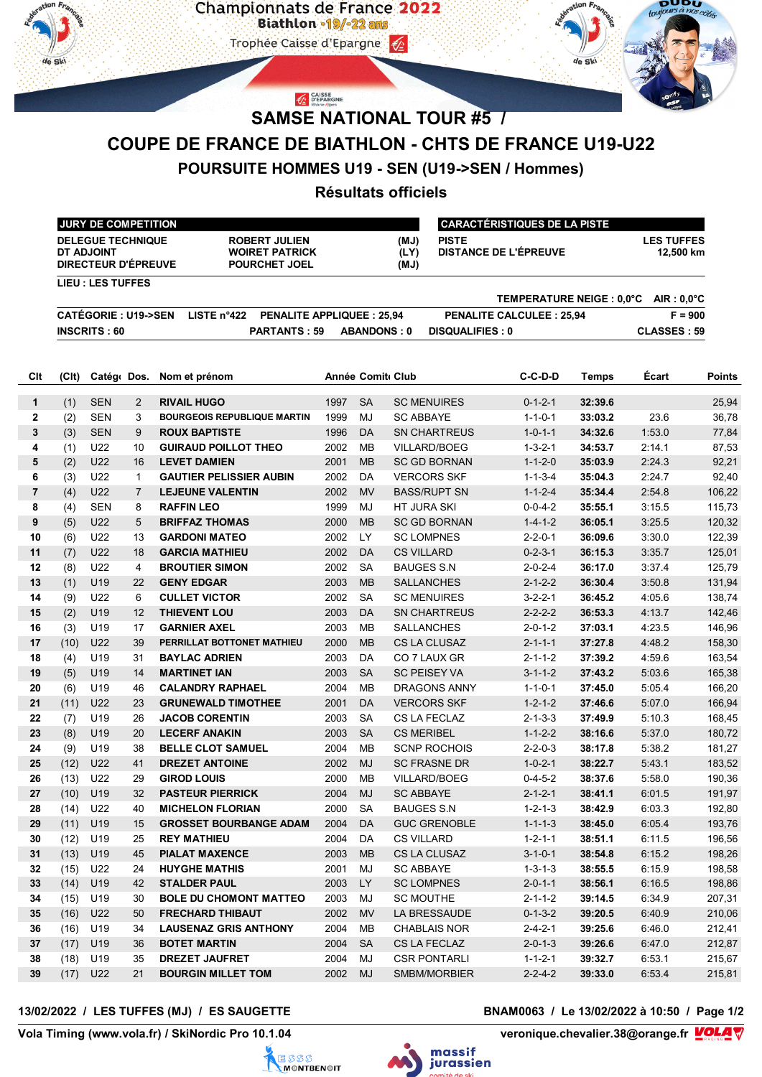

CAISSE<br>D'EPARGNE



# **SAMSE NATIONAL TOUR #5 /**

# **COUPE DE FRANCE DE BIATHLON - CHTS DE FRANCE U19-U22**

# **POURSUITE HOMMES U19 - SEN (U19->SEN / Hommes)**

## **Résultats officiels**

| <b>JURY DE COMPETITION</b>                                           |                                                          |                                                                       | I CARACTÉRISTIQUES DE LA PISTE |                                       |                                |  |  |
|----------------------------------------------------------------------|----------------------------------------------------------|-----------------------------------------------------------------------|--------------------------------|---------------------------------------|--------------------------------|--|--|
| <b>DELEGUE TECHNIQUE</b><br>DT ADJOINT<br><b>DIRECTEUR D'ÉPREUVE</b> |                                                          | <b>ROBERT JULIEN</b><br><b>WOIRET PATRICK</b><br><b>POURCHET JOEL</b> | (MJ)<br>(LY)<br>(MJ)           | <b>PISTE</b><br>DISTANCE DE L'ÉPREUVE | <b>LES TUFFES</b><br>12.500 km |  |  |
| LIEU : LES TUFFES                                                    |                                                          |                                                                       |                                |                                       |                                |  |  |
|                                                                      |                                                          |                                                                       |                                | TEMPERATURE NEIGE : 0.0°C             | $AIR: 0.0^{\circ}C$            |  |  |
| <b>CATÉGORIE : U19-&gt;SEN</b>                                       | LISTE $n^{\circ}422$<br><b>PENALITE APPLIQUEE: 25.94</b> |                                                                       |                                | <b>PENALITE CALCULEE: 25.94</b>       | $F = 900$                      |  |  |
| INSCRITS: 60                                                         |                                                          | <b>PARTANTS: 59</b>                                                   | <b>ABANDONS: 0</b>             | <b>DISQUALIFIES: 0</b>                | CLASSES: 59                    |  |  |

| Cit            | (CIt) | Catégo Dos.     |                | Nom et prénom                                       |              | <b>Année Comit Club</b> |                     | C-C-D-D         | Temps   | Ecart  | <b>Points</b> |
|----------------|-------|-----------------|----------------|-----------------------------------------------------|--------------|-------------------------|---------------------|-----------------|---------|--------|---------------|
| $\mathbf{1}$   | (1)   | <b>SEN</b>      | 2              | <b>RIVAIL HUGO</b>                                  | 1997         | <b>SA</b>               | <b>SC MENUIRES</b>  | $0 - 1 - 2 - 1$ | 32:39.6 |        | 25,94         |
| $\mathbf{2}$   | (2)   | <b>SEN</b>      | 3              | <b>BOURGEOIS REPUBLIQUE MARTIN</b>                  | 1999         | MJ                      | <b>SC ABBAYE</b>    | $1 - 1 - 0 - 1$ | 33:03.2 | 23.6   | 36,78         |
| 3              | (3)   | <b>SEN</b>      | 9              | <b>ROUX BAPTISTE</b>                                | 1996         | <b>DA</b>               | <b>SN CHARTREUS</b> | $1 - 0 - 1 - 1$ | 34:32.6 | 1:53.0 | 77,84         |
| 4              | (1)   | U22             | 10             | <b>GUIRAUD POILLOT THEO</b>                         | 2002         | <b>MB</b>               | <b>VILLARD/BOEG</b> | $1 - 3 - 2 - 1$ | 34:53.7 | 2:14.1 | 87,53         |
| 5              | (2)   | U22             | 16             | <b>LEVET DAMIEN</b>                                 | 2001         | <b>MB</b>               | <b>SC GD BORNAN</b> | $1 - 1 - 2 - 0$ | 35:03.9 | 2:24.3 | 92,21         |
| 6              | (3)   | U22             | $\mathbf{1}$   | <b>GAUTIER PELISSIER AUBIN</b>                      | 2002         | DA                      | <b>VERCORS SKF</b>  | $1 - 1 - 3 - 4$ | 35:04.3 | 2:24.7 | 92,40         |
| $\overline{7}$ | (4)   | U22             | $\overline{7}$ | <b>LEJEUNE VALENTIN</b>                             | 2002         | <b>MV</b>               | <b>BASS/RUPT SN</b> | $1 - 1 - 2 - 4$ | 35:34.4 | 2:54.8 | 106,22        |
| 8              | (4)   | <b>SEN</b>      | 8              | <b>RAFFIN LEO</b>                                   | 1999         | MJ                      | HT JURA SKI         | $0 - 0 - 4 - 2$ | 35:55.1 | 3:15.5 | 115,73        |
| 9              | (5)   | U22             | 5              | <b>BRIFFAZ THOMAS</b>                               | 2000         | <b>MB</b>               | <b>SC GD BORNAN</b> | $1 - 4 - 1 - 2$ | 36:05.1 | 3:25.5 | 120,32        |
| 10             | (6)   | U22             | 13             | <b>GARDONI MATEO</b>                                | 2002         | <b>LY</b>               | <b>SC LOMPNES</b>   | $2 - 2 - 0 - 1$ | 36:09.6 | 3:30.0 | 122,39        |
| 11             | (7)   | U22             | 18             | <b>GARCIA MATHIEU</b>                               | 2002         | <b>DA</b>               | <b>CS VILLARD</b>   | $0 - 2 - 3 - 1$ | 36:15.3 | 3:35.7 | 125,01        |
| 12             | (8)   | U22             | 4              | <b>BROUTIER SIMON</b>                               | 2002         | <b>SA</b>               | <b>BAUGES S.N</b>   | $2 - 0 - 2 - 4$ | 36:17.0 | 3:37.4 | 125,79        |
| 13             | (1)   | U19             | 22             | <b>GENY EDGAR</b>                                   | 2003         | <b>MB</b>               | SALLANCHES          | $2 - 1 - 2 - 2$ | 36:30.4 | 3:50.8 | 131,94        |
| 14             | (9)   | U22             | 6              | <b>CULLET VICTOR</b>                                | 2002         | <b>SA</b>               | <b>SC MENUIRES</b>  | $3 - 2 - 2 - 1$ | 36:45.2 | 4:05.6 | 138,74        |
| 15             | (2)   | U19             | 12             | <b>THIEVENT LOU</b>                                 | 2003         | <b>DA</b>               | <b>SN CHARTREUS</b> | $2 - 2 - 2 - 2$ | 36:53.3 | 4:13.7 | 142,46        |
| 16             | (3)   | U <sub>19</sub> | 17             | <b>GARNIER AXEL</b>                                 | 2003         | <b>MB</b>               | SALLANCHES          | $2 - 0 - 1 - 2$ | 37:03.1 | 4:23.5 | 146,96        |
| 17             | (10)  | U22             | 39             | PERRILLAT BOTTONET MATHIEU                          | 2000         | <b>MB</b>               | CS LA CLUSAZ        | $2 - 1 - 1 - 1$ | 37:27.8 | 4:48.2 | 158,30        |
| 18             | (4)   | U <sub>19</sub> | 31             | <b>BAYLAC ADRIEN</b>                                | 2003         | <b>DA</b>               | CO 7 LAUX GR        | $2 - 1 - 1 - 2$ | 37:39.2 | 4:59.6 | 163,54        |
| 19             | (5)   | U19             | 14             | <b>MARTINET IAN</b>                                 | 2003         | <b>SA</b>               | <b>SC PEISEY VA</b> | $3 - 1 - 1 - 2$ | 37:43.2 | 5:03.6 | 165,38        |
| 20             | (6)   | U <sub>19</sub> | 46             | <b>CALANDRY RAPHAEL</b>                             | 2004         | <b>MB</b>               | <b>DRAGONS ANNY</b> | $1 - 1 - 0 - 1$ | 37:45.0 | 5:05.4 | 166,20        |
| 21             | (11)  | U22             | 23             | <b>GRUNEWALD TIMOTHEE</b>                           | 2001         | <b>DA</b>               | <b>VERCORS SKF</b>  | $1 - 2 - 1 - 2$ | 37:46.6 | 5:07.0 | 166,94        |
| 22             | (7)   | U19             | 26             | <b>JACOB CORENTIN</b>                               | 2003         | <b>SA</b>               | CS LA FECLAZ        | $2 - 1 - 3 - 3$ | 37:49.9 | 5:10.3 | 168,45        |
| 23             | (8)   | U19             | 20             | <b>LECERF ANAKIN</b>                                | 2003         | <b>SA</b>               | <b>CS MERIBEL</b>   | $1 - 1 - 2 - 2$ | 38:16.6 | 5 37 0 | 180,72        |
| 24             | (9)   | U <sub>19</sub> | 38             | <b>BELLE CLOT SAMUEL</b>                            | 2004         | <b>MB</b>               | <b>SCNP ROCHOIS</b> | $2 - 2 - 0 - 3$ | 38:17.8 | 5:38.2 | 181,27        |
| 25             | (12)  | U22             | 41             | <b>DREZET ANTOINE</b>                               | 2002         | <b>MJ</b>               | <b>SC FRASNE DR</b> | $1 - 0 - 2 - 1$ | 38:22.7 | 5:43.1 | 183,52        |
| 26             | (13)  | U22             | 29             | <b>GIROD LOUIS</b>                                  | 2000         | <b>MB</b>               | VILLARD/BOEG        | $0 - 4 - 5 - 2$ | 38:37.6 | 5:58.0 | 190,36        |
| 27             | (10)  | U19             | 32             | <b>PASTEUR PIERRICK</b>                             | 2004         | <b>MJ</b>               | <b>SC ABBAYE</b>    | $2 - 1 - 2 - 1$ | 38:41.1 | 6:01.5 | 191,97        |
| 28             | (14)  | U22             | 40             | <b>MICHELON FLORIAN</b>                             | 2000         | <b>SA</b>               | <b>BAUGES S.N</b>   | $1 - 2 - 1 - 3$ | 38:42.9 | 6:03.3 | 192,80        |
| 29             | (11)  | U19             | 15             | <b>GROSSET BOURBANGE ADAM</b>                       | 2004         | <b>DA</b>               | <b>GUC GRENOBLE</b> | $1 - 1 - 1 - 3$ | 38:45.0 | 6:05.4 | 193,76        |
| 30             | (12)  | U19             | 25             | <b>REY MATHIEU</b>                                  | 2004         | <b>DA</b>               | <b>CS VILLARD</b>   | $1 - 2 - 1 - 1$ | 38:51.1 | 6:11.5 | 196,56        |
| 31             | (13)  | U19             | 45             | <b>PIALAT MAXENCE</b>                               | 2003         | <b>MB</b>               | CS LA CLUSAZ        | $3 - 1 - 0 - 1$ | 38:54.8 | 6:15.2 | 198,26        |
| 32             | (15)  | U22             | 24             | <b>HUYGHE MATHIS</b>                                | 2001         | MJ                      | <b>SC ABBAYE</b>    | $1 - 3 - 1 - 3$ | 38:55.5 | 6:15.9 | 198,58        |
| 33             | (14)  | U19             | 42             | <b>STALDER PAUL</b>                                 | 2003         | <b>LY</b>               | <b>SC LOMPNES</b>   | $2 - 0 - 1 - 1$ | 38:56.1 | 6:16.5 | 198,86        |
| 34             | (15)  | U19             | 30             | <b>BOLE DU CHOMONT MATTEO</b>                       | 2003         | MJ                      | <b>SC MOUTHE</b>    | $2 - 1 - 1 - 2$ | 39:14.5 | 6:34.9 | 207,31        |
| 35             | (16)  | <b>U22</b>      | 50             | <b>FRECHARD THIBAUT</b>                             | 2002         | <b>MV</b>               | LA BRESSAUDE        | $0 - 1 - 3 - 2$ | 39:20.5 | 6:40.9 | 210,06        |
| 36<br>37       | (16)  | U19             | 34<br>36       | <b>LAUSENAZ GRIS ANTHONY</b><br><b>BOTET MARTIN</b> | 2004<br>2004 | <b>MB</b><br><b>SA</b>  | <b>CHABLAIS NOR</b> | $2 - 4 - 2 - 1$ | 39:25.6 | 6:46.0 | 212,41        |
|                | (17)  | U19             |                |                                                     |              |                         | CS LA FECLAZ        | $2 - 0 - 1 - 3$ | 39:26.6 | 6:47.0 | 212,87        |
| 38             | (18)  | U19             | 35             | <b>DREZET JAUFRET</b>                               | 2004         | MJ                      | <b>CSR PONTARLI</b> | $1 - 1 - 2 - 1$ | 39:32.7 | 6:53.1 | 215,67        |
| 39             | (17)  | U22             | 21             | <b>BOURGIN MILLET TOM</b>                           | 2002         | MJ                      | SMBM/MORBIER        | $2 - 2 - 4 - 2$ | 39:33.0 | 6 53 4 | 215,81        |

### **13/02/2022 / LES TUFFES (MJ) / ES SAUGETTE BNAM0063 / Le 13/02/2022 à 10:50 / Page 1/2**

Vola Timing (www.vola.fr) / SkiNordic Pro 10.1.04





veronique.chevalier.38@orange.fr **VOLA**